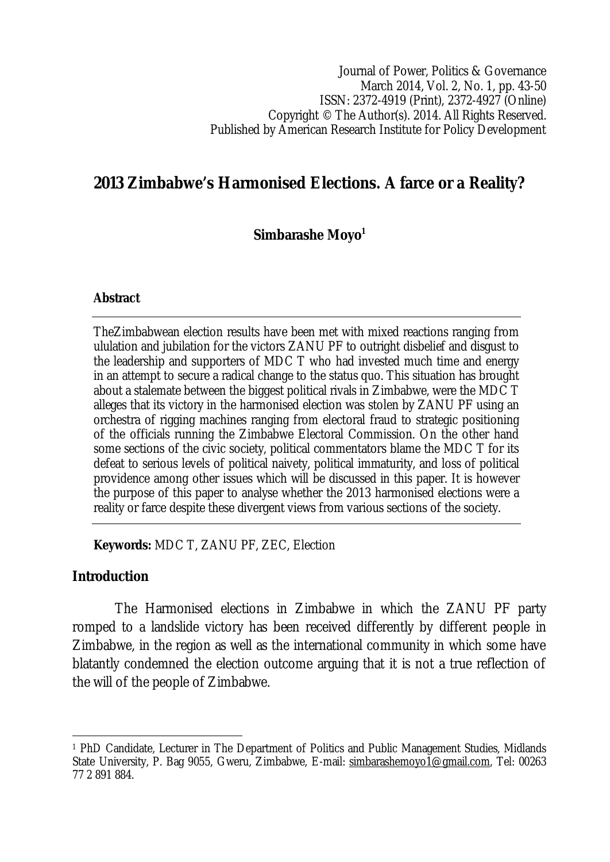Journal of Power, Politics & Governance March 2014, Vol. 2, No. 1, pp. 43-50 ISSN: 2372-4919 (Print), 2372-4927 (Online) Copyright © The Author(s). 2014. All Rights Reserved. Published by American Research Institute for Policy Development

# **2013 Zimbabwe's Harmonised Elections. A farce or a Reality?**

**Simbarashe Moyo<sup>1</sup>**

#### **Abstract**

TheZimbabwean election results have been met with mixed reactions ranging from ululation and jubilation for the victors ZANU PF to outright disbelief and disgust to the leadership and supporters of MDC T who had invested much time and energy in an attempt to secure a radical change to the status quo. This situation has brought about a stalemate between the biggest political rivals in Zimbabwe, were the MDC T alleges that its victory in the harmonised election was stolen by ZANU PF using an orchestra of rigging machines ranging from electoral fraud to strategic positioning of the officials running the Zimbabwe Electoral Commission. On the other hand some sections of the civic society, political commentators blame the MDC T for its defeat to serious levels of political naivety, political immaturity, and loss of political providence among other issues which will be discussed in this paper. It is however the purpose of this paper to analyse whether the 2013 harmonised elections were a reality or farce despite these divergent views from various sections of the society.

**Keywords:** MDC T, ZANU PF, ZEC, Election

### **Introduction**

The Harmonised elections in Zimbabwe in which the ZANU PF party romped to a landslide victory has been received differently by different people in Zimbabwe, in the region as well as the international community in which some have blatantly condemned the election outcome arguing that it is not a true reflection of the will of the people of Zimbabwe.

 $\overline{\phantom{a}}$ <sup>1</sup> PhD Candidate, Lecturer in The Department of Politics and Public Management Studies, Midlands State University, P. Bag 9055, Gweru, Zimbabwe, E-mail: simbarashemoyo1@gmail.com, Tel: 00263 77 2 891 884.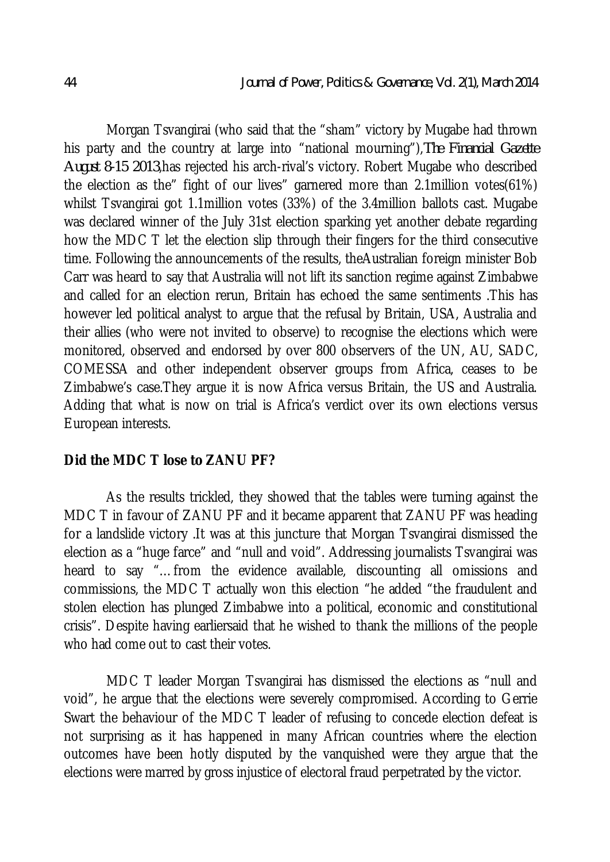Morgan Tsvangirai (who said that the "sham" victory by Mugabe had thrown his party and the country at large into "national mourning"),*The Financial Gazette August 8-15 2013*,has rejected his arch-rival's victory. Robert Mugabe who described the election as the" fight of our lives" garnered more than 2.1million votes(61%) whilst Tsvangirai got 1.1million votes (33%) of the 3.4million ballots cast. Mugabe was declared winner of the July 31st election sparking yet another debate regarding how the MDC T let the election slip through their fingers for the third consecutive time. Following the announcements of the results, theAustralian foreign minister Bob Carr was heard to say that Australia will not lift its sanction regime against Zimbabwe and called for an election rerun, Britain has echoed the same sentiments .This has however led political analyst to argue that the refusal by Britain, USA, Australia and their allies (who were not invited to observe) to recognise the elections which were monitored, observed and endorsed by over 800 observers of the UN, AU, SADC, COMESSA and other independent observer groups from Africa, ceases to be Zimbabwe's case.They argue it is now Africa versus Britain, the US and Australia. Adding that what is now on trial is Africa's verdict over its own elections versus European interests.

### **Did the MDC T lose to ZANU PF?**

As the results trickled, they showed that the tables were turning against the MDC T in favour of ZANU PF and it became apparent that ZANU PF was heading for a landslide victory .It was at this juncture that Morgan Tsvangirai dismissed the election as a "huge farce" and "null and void". Addressing journalists Tsvangirai was heard to say "…from the evidence available, discounting all omissions and commissions, the MDC T actually won this election "he added "the fraudulent and stolen election has plunged Zimbabwe into a political, economic and constitutional crisis". Despite having earliersaid that he wished to thank the millions of the people who had come out to cast their votes.

MDC T leader Morgan Tsvangirai has dismissed the elections as "null and void", he argue that the elections were severely compromised. According to Gerrie Swart the behaviour of the MDC T leader of refusing to concede election defeat is not surprising as it has happened in many African countries where the election outcomes have been hotly disputed by the vanquished were they argue that the elections were marred by gross injustice of electoral fraud perpetrated by the victor.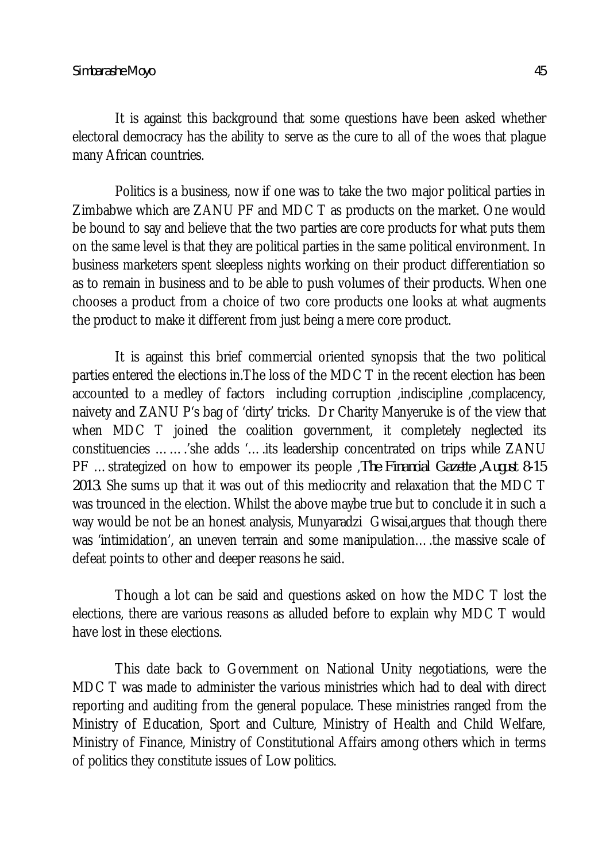It is against this background that some questions have been asked whether electoral democracy has the ability to serve as the cure to all of the woes that plague many African countries.

Politics is a business, now if one was to take the two major political parties in Zimbabwe which are ZANU PF and MDC T as products on the market. One would be bound to say and believe that the two parties are core products for what puts them on the same level is that they are political parties in the same political environment. In business marketers spent sleepless nights working on their product differentiation so as to remain in business and to be able to push volumes of their products. When one chooses a product from a choice of two core products one looks at what augments the product to make it different from just being a mere core product.

It is against this brief commercial oriented synopsis that the two political parties entered the elections in.The loss of the MDC T in the recent election has been accounted to a medley of factors including corruption ,indiscipline ,complacency, naivety and ZANU P's bag of 'dirty' tricks. Dr Charity Manyeruke is of the view that when MDC T joined the coalition government, it completely neglected its constituencies …….'she adds '….its leadership concentrated on trips while ZANU PF …strategized on how to empower its people ,*The Financial Gazette ,August 8-15 2013*. She sums up that it was out of this mediocrity and relaxation that the MDC T was trounced in the election. Whilst the above maybe true but to conclude it in such a way would be not be an honest analysis, Munyaradzi Gwisai, argues that though there was 'intimidation', an uneven terrain and some manipulation….the massive scale of defeat points to other and deeper reasons he said.

Though a lot can be said and questions asked on how the MDC T lost the elections, there are various reasons as alluded before to explain why MDC T would have lost in these elections.

This date back to Government on National Unity negotiations, were the MDC T was made to administer the various ministries which had to deal with direct reporting and auditing from the general populace. These ministries ranged from the Ministry of Education, Sport and Culture, Ministry of Health and Child Welfare, Ministry of Finance, Ministry of Constitutional Affairs among others which in terms of politics they constitute issues of Low politics.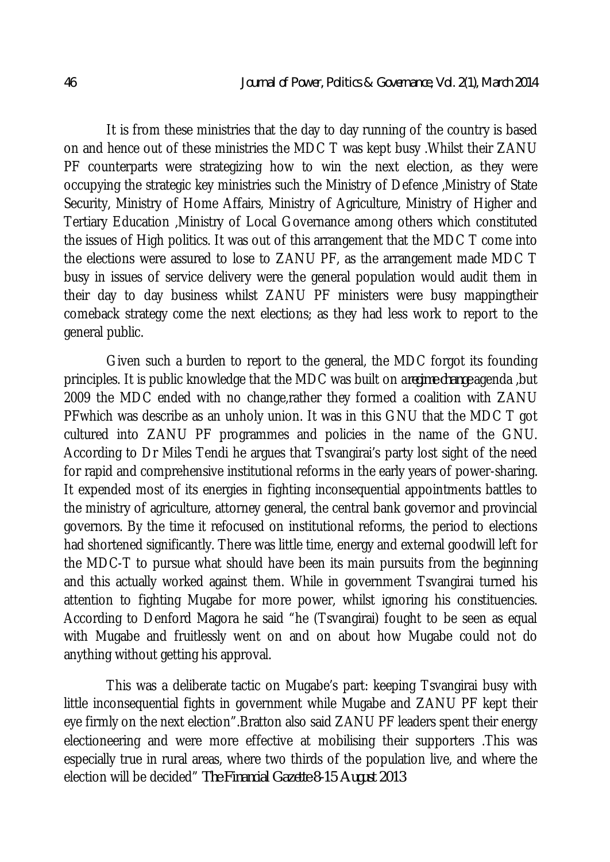It is from these ministries that the day to day running of the country is based on and hence out of these ministries the MDC T was kept busy .Whilst their ZANU PF counterparts were strategizing how to win the next election, as they were occupying the strategic key ministries such the Ministry of Defence ,Ministry of State Security, Ministry of Home Affairs, Ministry of Agriculture, Ministry of Higher and Tertiary Education ,Ministry of Local Governance among others which constituted the issues of High politics. It was out of this arrangement that the MDC T come into the elections were assured to lose to ZANU PF, as the arrangement made MDC T busy in issues of service delivery were the general population would audit them in their day to day business whilst ZANU PF ministers were busy mappingtheir comeback strategy come the next elections; as they had less work to report to the general public.

Given such a burden to report to the general, the MDC forgot its founding principles. It is public knowledge that the MDC was built on a*regime change* agenda ,but 2009 the MDC ended with no change,rather they formed a coalition with ZANU PFwhich was describe as an unholy union. It was in this GNU that the MDC T got cultured into ZANU PF programmes and policies in the name of the GNU. According to Dr Miles Tendi he argues that Tsvangirai's party lost sight of the need for rapid and comprehensive institutional reforms in the early years of power-sharing. It expended most of its energies in fighting inconsequential appointments battles to the ministry of agriculture, attorney general, the central bank governor and provincial governors. By the time it refocused on institutional reforms, the period to elections had shortened significantly. There was little time, energy and external goodwill left for the MDC-T to pursue what should have been its main pursuits from the beginning and this actually worked against them. While in government Tsvangirai turned his attention to fighting Mugabe for more power, whilst ignoring his constituencies. According to Denford Magora he said "he (Tsvangirai) fought to be seen as equal with Mugabe and fruitlessly went on and on about how Mugabe could not do anything without getting his approval.

This was a deliberate tactic on Mugabe's part: keeping Tsvangirai busy with little inconsequential fights in government while Mugabe and ZANU PF kept their eye firmly on the next election".Bratton also said ZANU PF leaders spent their energy electioneering and were more effective at mobilising their supporters .This was especially true in rural areas, where two thirds of the population live, and where the election will be decided" *The Financial Gazette 8-15 August 2013*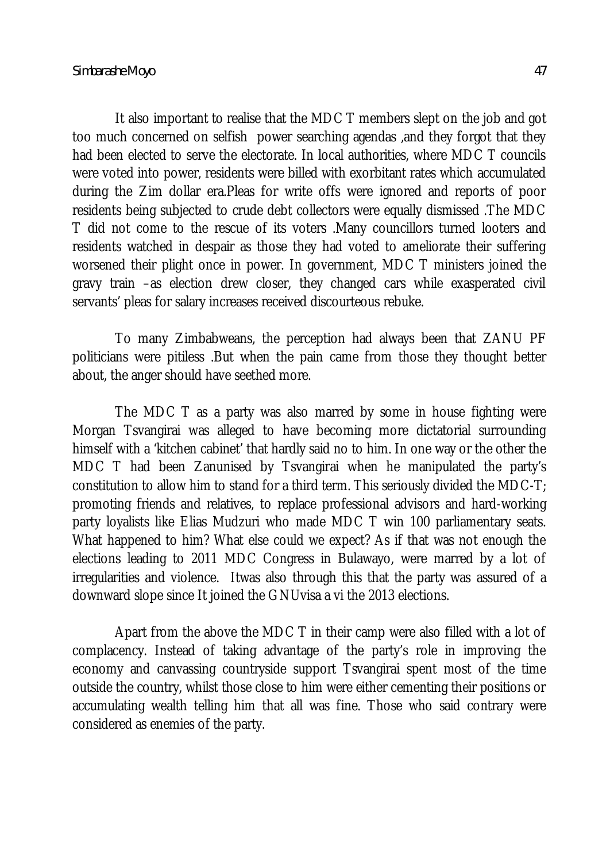It also important to realise that the MDC T members slept on the job and got too much concerned on selfish power searching agendas ,and they forgot that they had been elected to serve the electorate. In local authorities, where MDC T councils were voted into power, residents were billed with exorbitant rates which accumulated during the Zim dollar era.Pleas for write offs were ignored and reports of poor residents being subjected to crude debt collectors were equally dismissed .The MDC T did not come to the rescue of its voters .Many councillors turned looters and residents watched in despair as those they had voted to ameliorate their suffering worsened their plight once in power. In government, MDC T ministers joined the gravy train –as election drew closer, they changed cars while exasperated civil servants' pleas for salary increases received discourteous rebuke.

To many Zimbabweans, the perception had always been that ZANU PF politicians were pitiless .But when the pain came from those they thought better about, the anger should have seethed more.

The MDC T as a party was also marred by some in house fighting were Morgan Tsvangirai was alleged to have becoming more dictatorial surrounding himself with a 'kitchen cabinet' that hardly said no to him. In one way or the other the MDC T had been Zanunised by Tsvangirai when he manipulated the party's constitution to allow him to stand for a third term. This seriously divided the MDC-T; promoting friends and relatives, to replace professional advisors and hard-working party loyalists like Elias Mudzuri who made MDC T win 100 parliamentary seats. What happened to him? What else could we expect? As if that was not enough the elections leading to 2011 MDC Congress in Bulawayo, were marred by a lot of irregularities and violence. Itwas also through this that the party was assured of a downward slope since It joined the GNUvisa a vi the 2013 elections.

Apart from the above the MDC T in their camp were also filled with a lot of complacency. Instead of taking advantage of the party's role in improving the economy and canvassing countryside support Tsvangirai spent most of the time outside the country, whilst those close to him were either cementing their positions or accumulating wealth telling him that all was fine. Those who said contrary were considered as enemies of the party.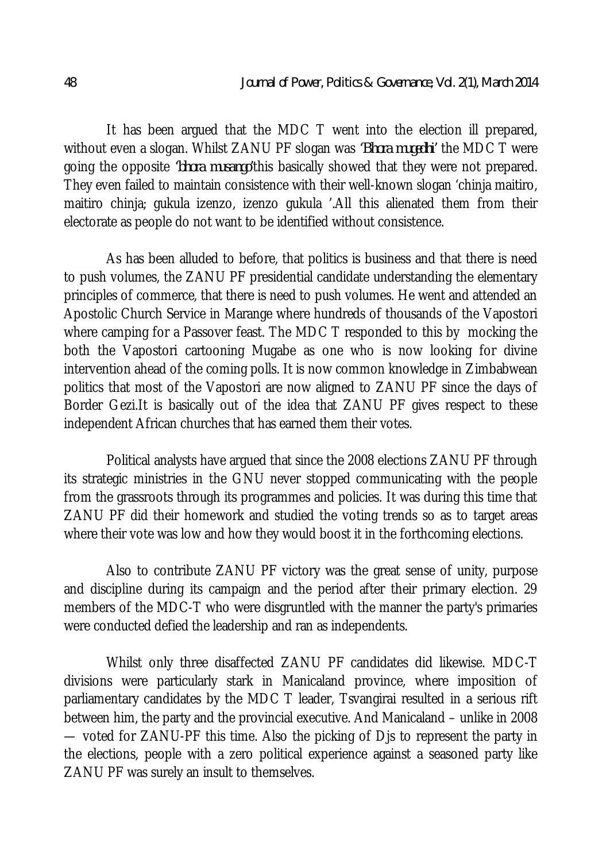It has been argued that the MDC T went into the election ill prepared, without even a slogan. Whilst ZANU PF slogan was *'Bhora mugedhi'* the MDC T were going the opposite *'bhora musango'*this basically showed that they were not prepared. They even failed to maintain consistence with their well-known slogan 'chinja maitiro, maitiro chinja; gukula izenzo, izenzo gukula '.All this alienated them from their electorate as people do not want to be identified without consistence.

As has been alluded to before, that politics is business and that there is need to push volumes, the ZANU PF presidential candidate understanding the elementary principles of commerce, that there is need to push volumes. He went and attended an Apostolic Church Service in Marange where hundreds of thousands of the Vapostori where camping for a Passover feast. The MDC T responded to this by mocking the both the Vapostori cartooning Mugabe as one who is now looking for divine intervention ahead of the coming polls. It is now common knowledge in Zimbabwean politics that most of the Vapostori are now aligned to ZANU PF since the days of Border Gezi.It is basically out of the idea that ZANU PF gives respect to these independent African churches that has earned them their votes.

Political analysts have argued that since the 2008 elections ZANU PF through its strategic ministries in the GNU never stopped communicating with the people from the grassroots through its programmes and policies. It was during this time that ZANU PF did their homework and studied the voting trends so as to target areas where their vote was low and how they would boost it in the forthcoming elections.

Also to contribute ZANU PF victory was the great sense of unity, purpose and discipline during its campaign and the period after their primary election. 29 members of the MDC-T who were disgruntled with the manner the party's primaries were conducted defied the leadership and ran as independents.

Whilst only three disaffected ZANU PF candidates did likewise. MDC-T divisions were particularly stark in Manicaland province, where imposition of parliamentary candidates by the MDC T leader, Tsvangirai resulted in a serious rift between him, the party and the provincial executive. And Manicaland – unlike in 2008 — voted for ZANU-PF this time. Also the picking of Djs to represent the party in the elections, people with a zero political experience against a seasoned party like ZANU PF was surely an insult to themselves.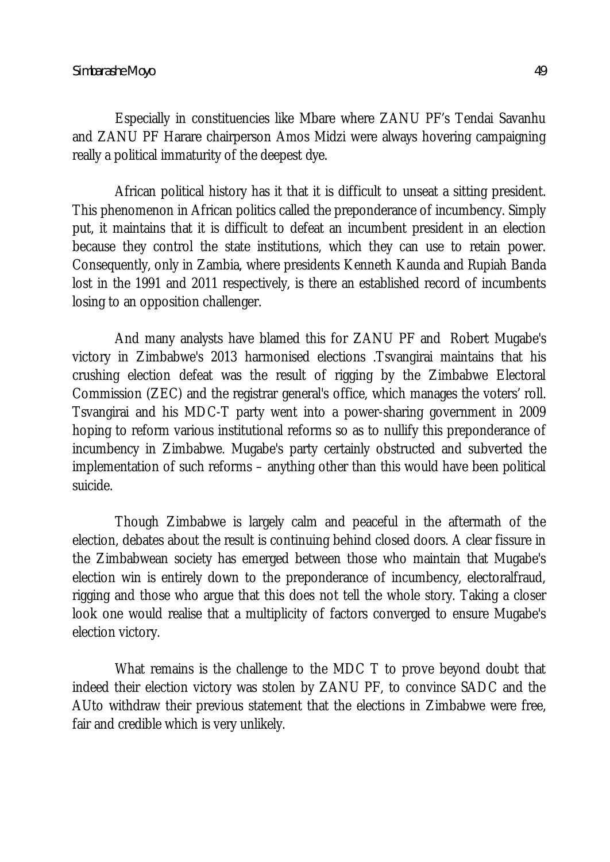Especially in constituencies like Mbare where ZANU PF's Tendai Savanhu and ZANU PF Harare chairperson Amos Midzi were always hovering campaigning really a political immaturity of the deepest dye.

African political history has it that it is difficult to unseat a sitting president. This phenomenon in African politics called the preponderance of incumbency. Simply put, it maintains that it is difficult to defeat an incumbent president in an election because they control the state institutions, which they can use to retain power. Consequently, only in Zambia, where presidents Kenneth Kaunda and Rupiah Banda lost in the 1991 and 2011 respectively, is there an established record of incumbents losing to an opposition challenger.

And many analysts have blamed this for ZANU PF and Robert Mugabe's victory in Zimbabwe's 2013 harmonised elections .Tsvangirai maintains that his crushing election defeat was the result of rigging by the Zimbabwe Electoral Commission (ZEC) and the registrar general's office, which manages the voters' roll. Tsvangirai and his MDC-T party went into a power-sharing government in 2009 hoping to reform various institutional reforms so as to nullify this preponderance of incumbency in Zimbabwe. Mugabe's party certainly obstructed and subverted the implementation of such reforms – anything other than this would have been political suicide.

Though Zimbabwe is largely calm and peaceful in the aftermath of the election, debates about the result is continuing behind closed doors. A clear fissure in the Zimbabwean society has emerged between those who maintain that Mugabe's election win is entirely down to the preponderance of incumbency, electoralfraud, rigging and those who argue that this does not tell the whole story. Taking a closer look one would realise that a multiplicity of factors converged to ensure Mugabe's election victory.

What remains is the challenge to the MDC T to prove beyond doubt that indeed their election victory was stolen by ZANU PF, to convince SADC and the AUto withdraw their previous statement that the elections in Zimbabwe were free, fair and credible which is very unlikely.